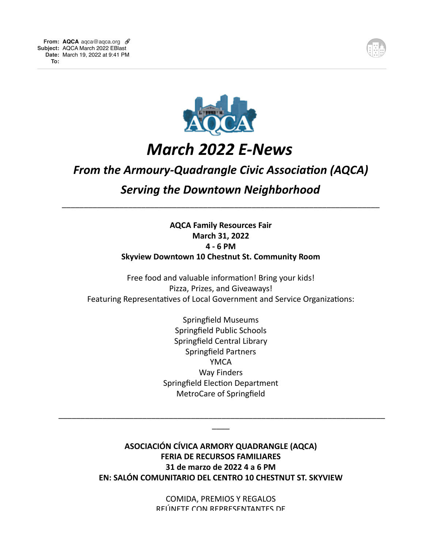



# *March 2022 E-News*

## **From the Armoury-Quadrangle Civic Association (AQCA)**

### **Serving the Downtown Neighborhood**

\_\_\_\_\_\_\_\_\_\_\_\_\_\_\_\_\_\_\_\_\_\_\_\_\_\_\_\_\_\_\_\_\_\_\_\_\_\_\_\_\_\_\_\_\_\_\_\_\_\_\_\_\_\_\_\_\_\_\_\_\_\_\_\_\_\_\_\_\_\_\_\_

### **AQCA Family Resources Fair March 31, 2022 4 - 6 PM Skyview Downtown 10 Chestnut St. Community Room**

Free food and valuable information! Bring your kids! Pizza, Prizes, and Giveaways! Featuring Representatives of Local Government and Service Organizations:

> Springfield Museums Springfield Public Schools Springfield Central Library Springfield Partners YMCA Way Finders Springfield Election Department MetroCare of Springfield

**ASOCIACIÓN CÍVICA ARMORY QUADRANGLE (AQCA) FERIA DE RECURSOS FAMILIARES 31 de marzo de 2022 4 a 6 PM EN: SALÓN COMUNITARIO DEL CENTRO 10 CHESTNUT ST. SKYVIEW** 

\_\_\_\_\_\_\_\_\_\_\_\_\_\_\_\_\_\_\_\_\_\_\_\_\_\_\_\_\_\_\_\_\_\_\_\_\_\_\_\_\_\_\_\_\_\_\_\_\_\_\_\_\_\_\_\_\_\_\_\_\_\_\_\_\_\_\_\_\_\_\_\_\_\_  $\overline{\phantom{a}}$ 

> COMIDA, PREMIOS Y REGALOS REIJNETE CON REPRESENTANTES DE